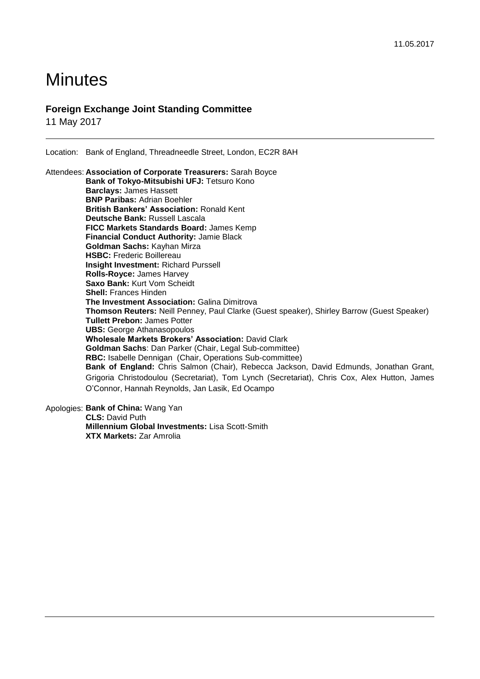# **Minutes**

### **Foreign Exchange Joint Standing Committee**

11 May 2017

Location: Bank of England, Threadneedle Street, London, EC2R 8AH

Attendees: **Association of Corporate Treasurers:** Sarah Boyce **Bank of Tokyo-Mitsubishi UFJ:** Tetsuro Kono **Barclays:** James Hassett **BNP Paribas:** Adrian Boehler **British Bankers' Association:** Ronald Kent **Deutsche Bank:** Russell Lascala **FICC Markets Standards Board:** James Kemp **Financial Conduct Authority:** Jamie Black **Goldman Sachs:** Kayhan Mirza **HSBC:** Frederic Boillereau **Insight Investment:** Richard Purssell **Rolls-Royce:** James Harvey **Saxo Bank:** Kurt Vom Scheidt **Shell:** Frances Hinden **The Investment Association:** Galina Dimitrova **Thomson Reuters:** Neill Penney, Paul Clarke (Guest speaker), Shirley Barrow (Guest Speaker) **Tullett Prebon:** James Potter **UBS:** George Athanasopoulos **Wholesale Markets Brokers' Association:** David Clark **Goldman Sachs**: Dan Parker (Chair, Legal Sub-committee) **RBC:** Isabelle Dennigan (Chair, Operations Sub-committee) **Bank of England:** Chris Salmon (Chair), Rebecca Jackson, David Edmunds, Jonathan Grant, Grigoria Christodoulou (Secretariat), Tom Lynch (Secretariat), Chris Cox, Alex Hutton, James O'Connor, Hannah Reynolds, Jan Lasik, Ed Ocampo

Apologies: **Bank of China:** Wang Yan **CLS:** David Puth **Millennium Global Investments:** Lisa Scott-Smith **XTX Markets:** Zar Amrolia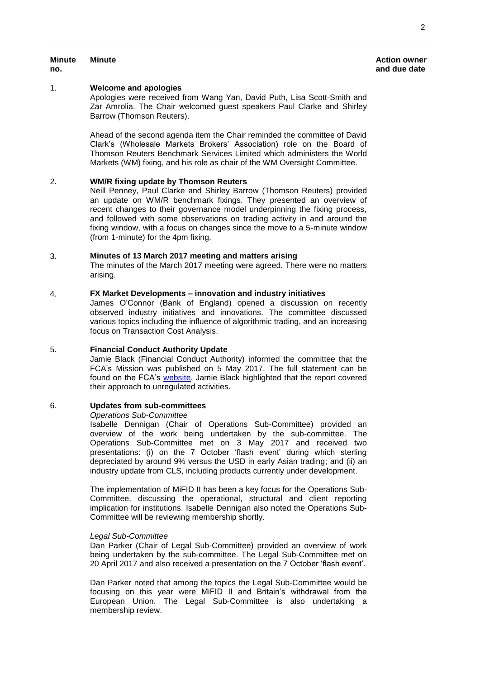#### **Minute Action owner and due date**

## **Minute**

**no.**

#### 1. **Welcome and apologies**

Apologies were received from Wang Yan, David Puth, Lisa Scott-Smith and Zar Amrolia. The Chair welcomed guest speakers Paul Clarke and Shirley Barrow (Thomson Reuters).

Ahead of the second agenda item the Chair reminded the committee of David Clark's (Wholesale Markets Brokers' Association) role on the Board of Thomson Reuters Benchmark Services Limited which administers the World Markets (WM) fixing, and his role as chair of the WM Oversight Committee.

#### 2. **WM/R fixing update by Thomson Reuters**

Neill Penney, Paul Clarke and Shirley Barrow (Thomson Reuters) provided an update on WM/R benchmark fixings. They presented an overview of recent changes to their governance model underpinning the fixing process, and followed with some observations on trading activity in and around the fixing window, with a focus on changes since the move to a 5-minute window (from 1-minute) for the 4pm fixing.

#### 3. **Minutes of 13 March 2017 meeting and matters arising**

The minutes of the March 2017 meeting were agreed. There were no matters arising.

#### 4. **FX Market Developments – innovation and industry initiatives**

James O'Connor (Bank of England) opened a discussion on recently observed industry initiatives and innovations. The committee discussed various topics including the influence of algorithmic trading, and an increasing focus on Transaction Cost Analysis.

#### 5. **Financial Conduct Authority Update**

Jamie Black (Financial Conduct Authority) informed the committee that the FCA's Mission was published on 5 May 2017. The full statement can be found on the FCA's [website.](https://www.fca.org.uk/publications/corporate-documents/our-mission) Jamie Black highlighted that the report covered their approach to unregulated activities.

#### 6. **Updates from sub-committees**

#### *Operations Sub-Committee*

Isabelle Dennigan (Chair of Operations Sub-Committee) provided an overview of the work being undertaken by the sub-committee. The Operations Sub-Committee met on 3 May 2017 and received two presentations: (i) on the 7 October 'flash event' during which sterling depreciated by around 9% versus the USD in early Asian trading; and (ii) an industry update from CLS, including products currently under development.

The implementation of MiFID II has been a key focus for the Operations Sub-Committee, discussing the operational, structural and client reporting implication for institutions. Isabelle Dennigan also noted the Operations Sub-Committee will be reviewing membership shortly.

#### *Legal Sub-Committee*

Dan Parker (Chair of Legal Sub-Committee) provided an overview of work being undertaken by the sub-committee. The Legal Sub-Committee met on 20 April 2017 and also received a presentation on the 7 October 'flash event'.

Dan Parker noted that among the topics the Legal Sub-Committee would be focusing on this year were MiFID II and Britain's withdrawal from the European Union. The Legal Sub-Committee is also undertaking a membership review.